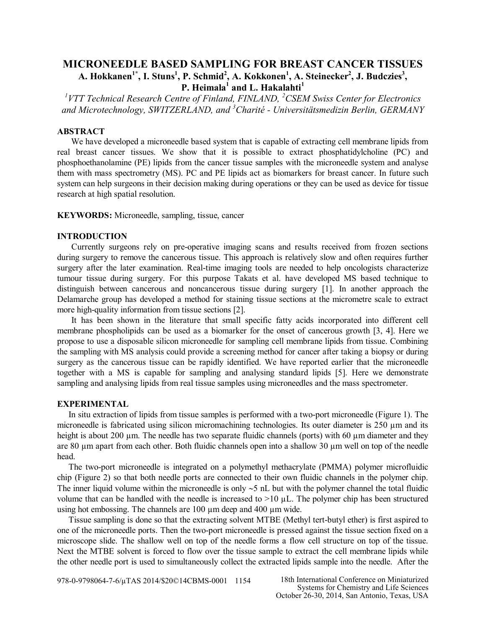# **MICRONEEDLE BASED SAMPLING FOR BREAST CANCER TISSUES A. Hokkanen1\*, I. Stuns<sup>1</sup> , P. Schmid<sup>2</sup> , A. Kokkonen<sup>1</sup> , A. Steinecker<sup>2</sup> , J. Budczies<sup>3</sup> , P. Heimala<sup>1</sup> and L. Hakalahti<sup>1</sup>**

*1 VTT Technical Research Centre of Finland, FINLAND, <sup>2</sup>CSEM Swiss Center for Electronics and Microtechnology, SWITZERLAND, and <sup>3</sup>Charité - Universitätsmedizin Berlin, GERMANY*

### **ABSTRACT**

We have developed a microneedle based system that is capable of extracting cell membrane lipids from real breast cancer tissues. We show that it is possible to extract phosphatidylcholine (PC) and phosphoethanolamine (PE) lipids from the cancer tissue samples with the microneedle system and analyse them with mass spectrometry (MS). PC and PE lipids act as biomarkers for breast cancer. In future such system can help surgeons in their decision making during operations or they can be used as device for tissue research at high spatial resolution.

**KEYWORDS:** Microneedle, sampling, tissue, cancer

#### **INTRODUCTION**

Currently surgeons rely on pre-operative imaging scans and results received from frozen sections during surgery to remove the cancerous tissue. This approach is relatively slow and often requires further surgery after the later examination. Real-time imaging tools are needed to help oncologists characterize tumour tissue during surgery. For this purpose Takats et al. have developed MS based technique to distinguish between cancerous and noncancerous tissue during surgery [1]. In another approach the Delamarche group has developed a method for staining tissue sections at the micrometre scale to extract more high-quality information from tissue sections [2].

It has been shown in the literature that small specific fatty acids incorporated into different cell membrane phospholipids can be used as a biomarker for the onset of cancerous growth [3, 4]. Here we propose to use a disposable silicon microneedle for sampling cell membrane lipids from tissue. Combining the sampling with MS analysis could provide a screening method for cancer after taking a biopsy or during surgery as the cancerous tissue can be rapidly identified. We have reported earlier that the microneedle together with a MS is capable for sampling and analysing standard lipids [5]. Here we demonstrate sampling and analysing lipids from real tissue samples using microneedles and the mass spectrometer.

#### **EXPERIMENTAL**

In situ extraction of lipids from tissue samples is performed with a two-port microneedle (Figure 1). The microneedle is fabricated using silicon micromachining technologies. Its outer diameter is 250 µm and its height is about 200 µm. The needle has two separate fluidic channels (ports) with 60 µm diameter and they are 80 µm apart from each other. Both fluidic channels open into a shallow 30 µm well on top of the needle head.

The two-port microneedle is integrated on a polymethyl methacrylate (PMMA) polymer microfluidic chip (Figure 2) so that both needle ports are connected to their own fluidic channels in the polymer chip. The inner liquid volume within the microneedle is only  $\sim$  5 nL but with the polymer channel the total fluidic volume that can be handled with the needle is increased to  $>10 \mu L$ . The polymer chip has been structured using hot embossing. The channels are 100  $\mu$ m deep and 400  $\mu$ m wide.

Tissue sampling is done so that the extracting solvent MTBE (Methyl tert-butyl ether) is first aspired to one of the microneedle ports. Then the two-port microneedle is pressed against the tissue section fixed on a microscope slide. The shallow well on top of the needle forms a flow cell structure on top of the tissue. Next the MTBE solvent is forced to flow over the tissue sample to extract the cell membrane lipids while the other needle port is used to simultaneously collect the extracted lipids sample into the needle. After the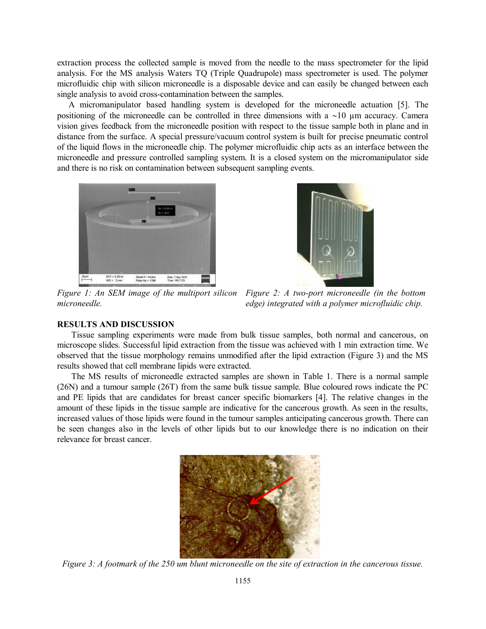extraction process the collected sample is moved from the needle to the mass spectrometer for the lipid analysis. For the MS analysis Waters TQ (Triple Quadrupole) mass spectrometer is used. The polymer microfluidic chip with silicon microneedle is a disposable device and can easily be changed between each single analysis to avoid cross-contamination between the samples.

A micromanipulator based handling system is developed for the microneedle actuation [5]. The positioning of the microneedle can be controlled in three dimensions with a  $\sim$ 10  $\mu$ m accuracy. Camera vision gives feedback from the microneedle position with respect to the tissue sample both in plane and in distance from the surface. A special pressure/vacuum control system is built for precise pneumatic control of the liquid flows in the microneedle chip. The polymer microfluidic chip acts as an interface between the microneedle and pressure controlled sampling system. It is a closed system on the micromanipulator side and there is no risk on contamination between subsequent sampling events.





*Figure 1: An SEM image of the multiport silicon Figure 2: A two-port microneedle (in the bottom microneedle.*

*edge) integrated with a polymer microfluidic chip.*

## **RESULTS AND DISCUSSION**

Tissue sampling experiments were made from bulk tissue samples, both normal and cancerous, on microscope slides. Successful lipid extraction from the tissue was achieved with 1 min extraction time. We observed that the tissue morphology remains unmodified after the lipid extraction (Figure 3) and the MS results showed that cell membrane lipids were extracted.

The MS results of microneedle extracted samples are shown in Table 1. There is a normal sample (26N) and a tumour sample (26T) from the same bulk tissue sample. Blue coloured rows indicate the PC and PE lipids that are candidates for breast cancer specific biomarkers [4]. The relative changes in the amount of these lipids in the tissue sample are indicative for the cancerous growth. As seen in the results, increased values of those lipids were found in the tumour samples anticipating cancerous growth. There can be seen changes also in the levels of other lipids but to our knowledge there is no indication on their relevance for breast cancer.



*Figure 3: A footmark of the 250 um blunt microneedle on the site of extraction in the cancerous tissue.*